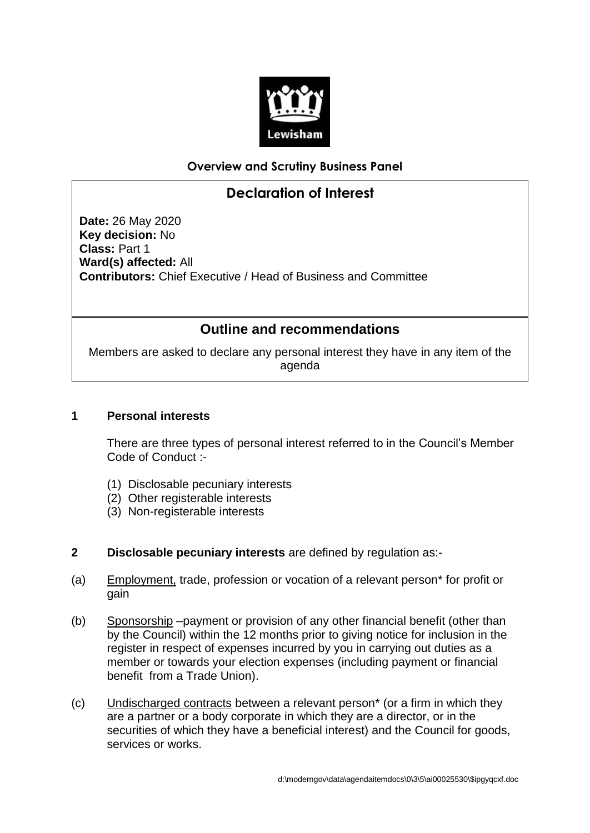

### **Overview and Scrutiny Business Panel**

# **Declaration of Interest**

**Date:** 26 May 2020 **Key decision:** No **Class:** Part 1 **Ward(s) affected:** All **Contributors:** Chief Executive / Head of Business and Committee

## **Outline and recommendations**

Members are asked to declare any personal interest they have in any item of the agenda

#### **1 Personal interests**

There are three types of personal interest referred to in the Council's Member Code of Conduct :-

- (1) Disclosable pecuniary interests
- (2) Other registerable interests
- (3) Non-registerable interests
- **2 Disclosable pecuniary interests** are defined by regulation as:-
- (a) Employment, trade, profession or vocation of a relevant person\* for profit or gain
- (b) Sponsorship –payment or provision of any other financial benefit (other than by the Council) within the 12 months prior to giving notice for inclusion in the register in respect of expenses incurred by you in carrying out duties as a member or towards your election expenses (including payment or financial benefit from a Trade Union).
- (c) Undischarged contracts between a relevant person\* (or a firm in which they are a partner or a body corporate in which they are a director, or in the securities of which they have a beneficial interest) and the Council for goods, services or works.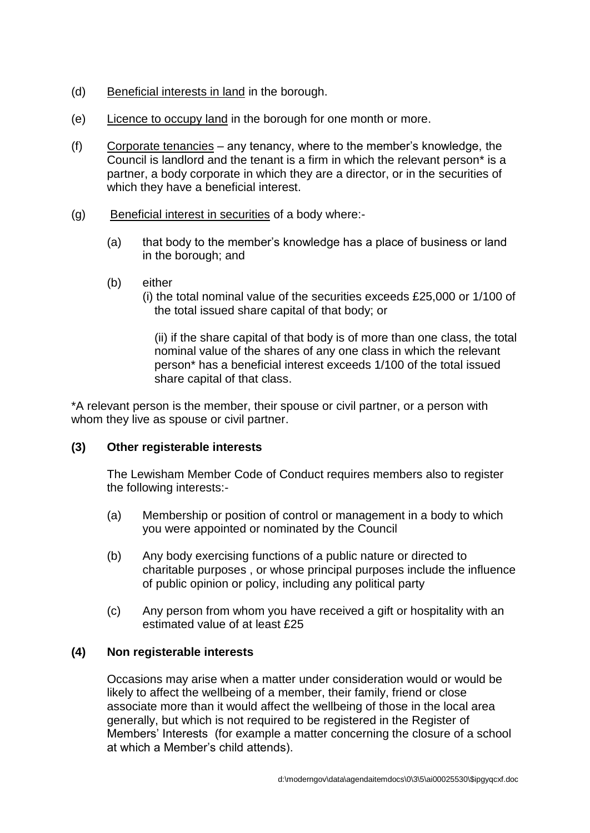- (d) Beneficial interests in land in the borough.
- (e) Licence to occupy land in the borough for one month or more.
- (f) Corporate tenancies any tenancy, where to the member's knowledge, the Council is landlord and the tenant is a firm in which the relevant person\* is a partner, a body corporate in which they are a director, or in the securities of which they have a beneficial interest.
- (g) Beneficial interest in securities of a body where:-
	- (a) that body to the member's knowledge has a place of business or land in the borough; and
	- (b) either
		- (i) the total nominal value of the securities exceeds £25,000 or 1/100 of the total issued share capital of that body; or

(ii) if the share capital of that body is of more than one class, the total nominal value of the shares of any one class in which the relevant person\* has a beneficial interest exceeds 1/100 of the total issued share capital of that class.

\*A relevant person is the member, their spouse or civil partner, or a person with whom they live as spouse or civil partner.

#### **(3) Other registerable interests**

The Lewisham Member Code of Conduct requires members also to register the following interests:-

- (a) Membership or position of control or management in a body to which you were appointed or nominated by the Council
- (b) Any body exercising functions of a public nature or directed to charitable purposes , or whose principal purposes include the influence of public opinion or policy, including any political party
- (c) Any person from whom you have received a gift or hospitality with an estimated value of at least £25

#### **(4) Non registerable interests**

Occasions may arise when a matter under consideration would or would be likely to affect the wellbeing of a member, their family, friend or close associate more than it would affect the wellbeing of those in the local area generally, but which is not required to be registered in the Register of Members' Interests (for example a matter concerning the closure of a school at which a Member's child attends).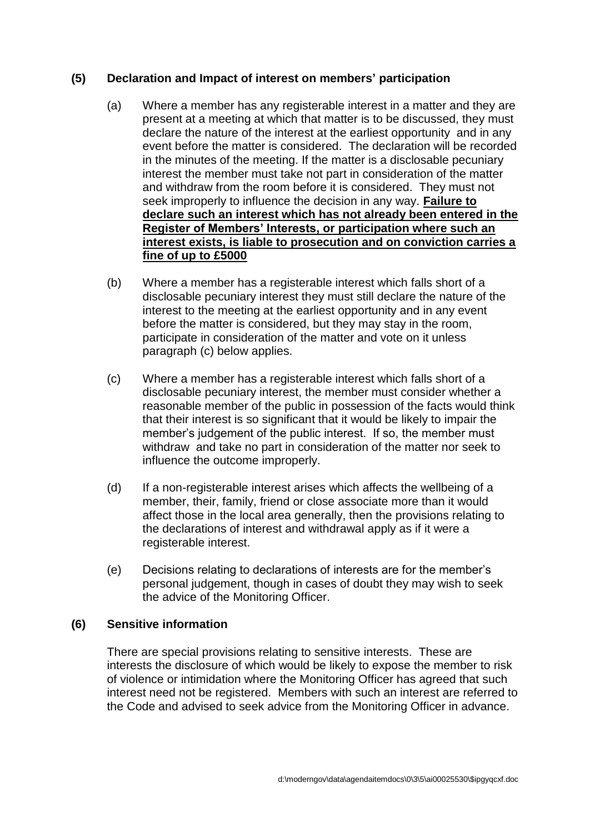#### **(5) Declaration and Impact of interest on members' participation**

- (a) Where a member has any registerable interest in a matter and they are present at a meeting at which that matter is to be discussed, they must declare the nature of the interest at the earliest opportunity and in any event before the matter is considered. The declaration will be recorded in the minutes of the meeting. If the matter is a disclosable pecuniary interest the member must take not part in consideration of the matter and withdraw from the room before it is considered. They must not seek improperly to influence the decision in any way. **Failure to declare such an interest which has not already been entered in the Register of Members' Interests, or participation where such an interest exists, is liable to prosecution and on conviction carries a fine of up to £5000**
- (b) Where a member has a registerable interest which falls short of a disclosable pecuniary interest they must still declare the nature of the interest to the meeting at the earliest opportunity and in any event before the matter is considered, but they may stay in the room, participate in consideration of the matter and vote on it unless paragraph (c) below applies.
- (c) Where a member has a registerable interest which falls short of a disclosable pecuniary interest, the member must consider whether a reasonable member of the public in possession of the facts would think that their interest is so significant that it would be likely to impair the member's judgement of the public interest. If so, the member must withdraw and take no part in consideration of the matter nor seek to influence the outcome improperly.
- (d) If a non-registerable interest arises which affects the wellbeing of a member, their, family, friend or close associate more than it would affect those in the local area generally, then the provisions relating to the declarations of interest and withdrawal apply as if it were a registerable interest.
- (e) Decisions relating to declarations of interests are for the member's personal judgement, though in cases of doubt they may wish to seek the advice of the Monitoring Officer.

#### **(6) Sensitive information**

There are special provisions relating to sensitive interests. These are interests the disclosure of which would be likely to expose the member to risk of violence or intimidation where the Monitoring Officer has agreed that such interest need not be registered. Members with such an interest are referred to the Code and advised to seek advice from the Monitoring Officer in advance.